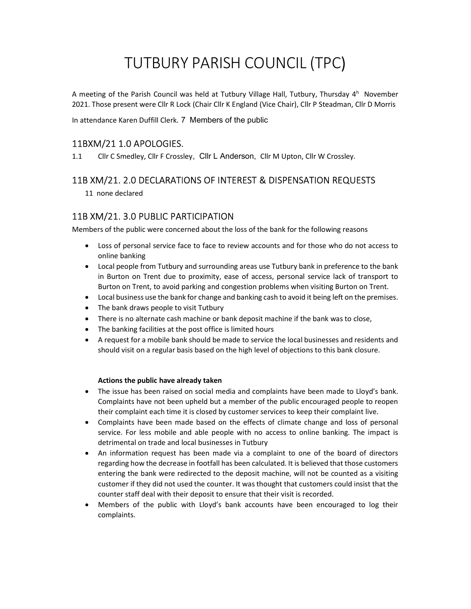# TUTBURY PARISH COUNCIL (TPC)

A meeting of the Parish Council was held at Tutbury Village Hall, Tutbury, Thursday 4<sup>h</sup> November 2021. Those present were Cllr R Lock (Chair Cllr K England (Vice Chair), Cllr P Steadman, Cllr D Morris

In attendance Karen Duffill Clerk. 7 Members of the public

# 11BXM/21 1.0 APOLOGIES.

1.1 Cllr C Smedley, Cllr F Crossley, Cllr L Anderson, Cllr M Upton, Cllr W Crossley.

# 11B XM/21. 2.0 DECLARATIONS OF INTEREST & DISPENSATION REQUESTS

11 none declared

# 11B XM/21. 3.0 PUBLIC PARTICIPATION

Members of the public were concerned about the loss of the bank for the following reasons

- Loss of personal service face to face to review accounts and for those who do not access to online banking
- Local people from Tutbury and surrounding areas use Tutbury bank in preference to the bank in Burton on Trent due to proximity, ease of access, personal service lack of transport to Burton on Trent, to avoid parking and congestion problems when visiting Burton on Trent.
- Local business use the bank for change and banking cash to avoid it being left on the premises.
- The bank draws people to visit Tutbury
- There is no alternate cash machine or bank deposit machine if the bank was to close,
- The banking facilities at the post office is limited hours
- A request for a mobile bank should be made to service the local businesses and residents and should visit on a regular basis based on the high level of objections to this bank closure.

### Actions the public have already taken

- The issue has been raised on social media and complaints have been made to Lloyd's bank. Complaints have not been upheld but a member of the public encouraged people to reopen their complaint each time it is closed by customer services to keep their complaint live.
- Complaints have been made based on the effects of climate change and loss of personal service. For less mobile and able people with no access to online banking. The impact is detrimental on trade and local businesses in Tutbury
- An information request has been made via a complaint to one of the board of directors regarding how the decrease in footfall has been calculated. It is believed that those customers entering the bank were redirected to the deposit machine, will not be counted as a visiting customer if they did not used the counter. It was thought that customers could insist that the counter staff deal with their deposit to ensure that their visit is recorded.
- Members of the public with Lloyd's bank accounts have been encouraged to log their complaints.